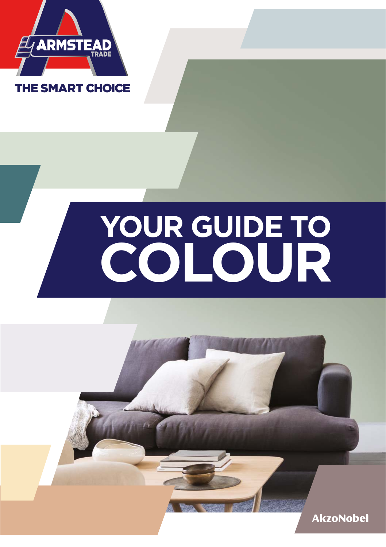

## **YOUR GUIDE TO COLOUR**

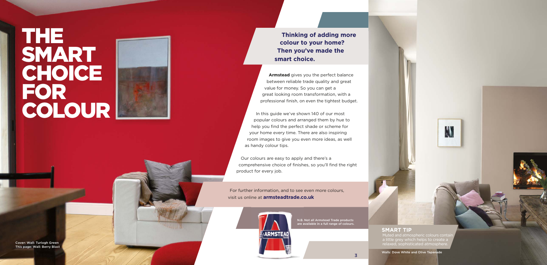Walls: Dove White and Olive Tapanade



**SMART TIP** Muted and atmospheric colours contain a little grey which helps to create a

M

**Armstead** gives you the perfect balance between reliable trade quality and great value for money. So you can get a great looking room transformation, with a professional finish, on even the tightest budget.

# THE SMART CHOICE FOR COLOUR

3

Cover: Wall: Turlogh Green This page: Wall: Turlogh Green This page: Cover: Wall: Turlogh Green This page: Wall: Berry Blast Compiled atmosphere.

**Thinking of adding more colour to your home? Then you've made the smart choice.**

N.B. Not all Armstead Trade products are available in a full range of colours. a

In this guide we've shown 140 of our most popular colours and arranged them by hue to help you find the perfect shade or scheme for your home every time. There are also inspiring room images to give you even more ideas, as well as handy colour tips.

Our colours are easy to apply and there's a comprehensive choice of finishes, so you'll find the right product for every job.

For further information, and to see even more colours, visit us online at **armsteadtrade.co.uk**

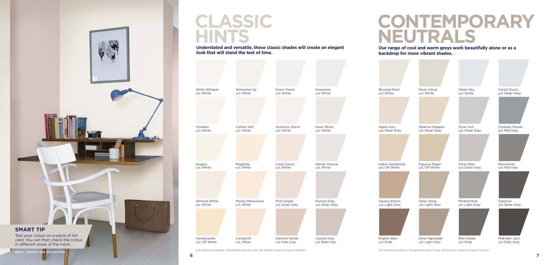### **Our range of cool and warm greys work beautifully alone or as a backdrop for more vibrant shades.**

**Blushed Pear** u/c White

### **CONTEMPORARY NEUTRALS**

Aged Ivory u/c Silver Grey

Indian Sandstone u/c Off White



Savana Brown u/c Light Grey



English Barn u/c Drab



Test your colour on a piece of A4 card. You can then check the colour in different areas of the room.

For technical reasons, the printed colours may not exactly match the paint colours.

### **CLASSIC HINTS**

**Understated and versatile, these classic shades will create an elegant look that will stand the test of time.**

For technical reasons, the printed colours may not exactly match the paint colours.



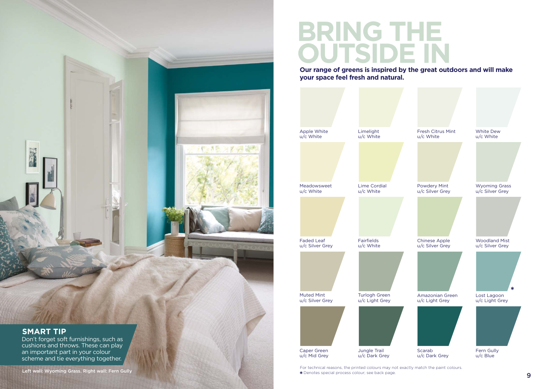

### **BRING THE OUTSIDE IN**

**Our range of greens is inspired by the great outdoors and will make your space feel fresh and natural.**

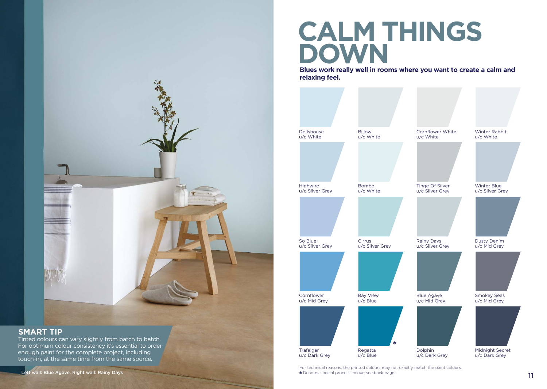

### **SMART TIP**

Tinted colours can vary slightly from batch to batch. For optimum colour consistency it's essential to order enough paint for the complete project, including touch-in, at the same time from the same source.

## **CALM THINGS DOWN**

**Blues work really well in rooms where you want to create a calm and relaxing feel.** 

| <b>Dollshouse</b><br>u/c White | <b>Billow</b><br>u/c White  | <b>Cornflower White</b><br>u/c White | <b>Winter Rabbit</b><br>u/c White     |
|--------------------------------|-----------------------------|--------------------------------------|---------------------------------------|
|                                |                             |                                      |                                       |
| Highwire<br>u/c Silver Grey    | <b>Bombe</b><br>u/c White   | Tinge Of Silver<br>u/c Silver Grey   | <b>Winter Blue</b><br>u/c Silver Grey |
|                                |                             |                                      |                                       |
| So Blue<br>u/c Silver Grey     | Cirrus<br>u/c Silver Grey   | <b>Rainy Days</b><br>u/c Silver Grey | <b>Dusty Denim</b><br>u/c Mid Grey    |
|                                |                             |                                      |                                       |
| Cornflower<br>u/c Mid Grey     | <b>Bay View</b><br>u/c Blue | <b>Blue Agave</b><br>u/c Mid Grey    | <b>Smokey Seas</b><br>u/c Mid Grey    |
| Trafalgar                      | *<br>Regatta                | Dolphin                              | Midnight Secret                       |
| u/c Dark Grey                  | u/c Blue                    | u/c Dark Grey                        | u/c Dark Grey                         |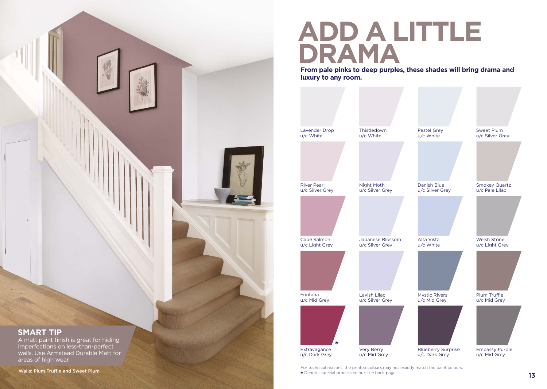

## **ADD A LITTLE DRAMA**

**From pale pinks to deep purples, these shades will bring drama and luxury to any room.**

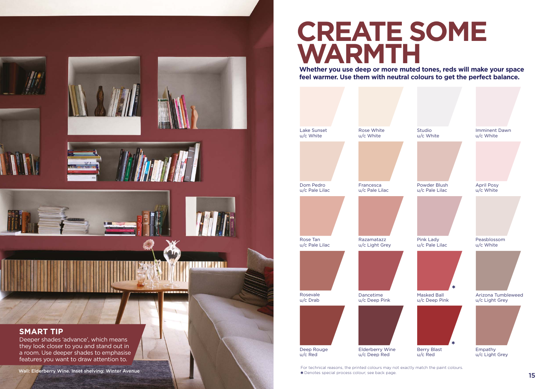

### **CREATE SOME WARMTH**

**Whether you use deep or more muted tones, reds will make your space feel warmer. Use them with neutral colours to get the perfect balance.**

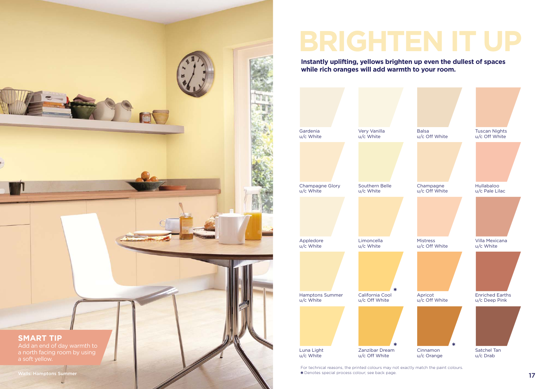

**Instantly uplifting, yellows brighten up even the dullest of spaces while rich oranges will add warmth to your room.**